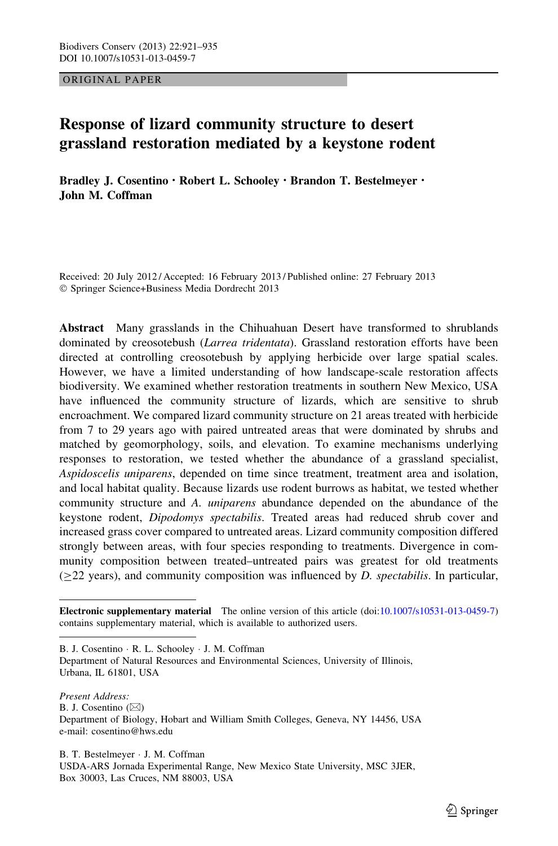ORIGINAL PAPER

# Response of lizard community structure to desert grassland restoration mediated by a keystone rodent

Bradley J. Cosentino • Robert L. Schooley • Brandon T. Bestelmeyer • John M. Coffman

Received: 20 July 2012 / Accepted: 16 February 2013 / Published online: 27 February 2013 - Springer Science+Business Media Dordrecht 2013

Abstract Many grasslands in the Chihuahuan Desert have transformed to shrublands dominated by creosotebush (*Larrea tridentata*). Grassland restoration efforts have been directed at controlling creosotebush by applying herbicide over large spatial scales. However, we have a limited understanding of how landscape-scale restoration affects biodiversity. We examined whether restoration treatments in southern New Mexico, USA have influenced the community structure of lizards, which are sensitive to shrub encroachment. We compared lizard community structure on 21 areas treated with herbicide from 7 to 29 years ago with paired untreated areas that were dominated by shrubs and matched by geomorphology, soils, and elevation. To examine mechanisms underlying responses to restoration, we tested whether the abundance of a grassland specialist, Aspidoscelis uniparens, depended on time since treatment, treatment area and isolation, and local habitat quality. Because lizards use rodent burrows as habitat, we tested whether community structure and A. uniparens abundance depended on the abundance of the keystone rodent, Dipodomys spectabilis. Treated areas had reduced shrub cover and increased grass cover compared to untreated areas. Lizard community composition differed strongly between areas, with four species responding to treatments. Divergence in community composition between treated–untreated pairs was greatest for old treatments  $(>=22 \text{ years})$ , and community composition was influenced by D. spectabilis. In particular,

B. J. Cosentino - R. L. Schooley - J. M. Coffman

Department of Natural Resources and Environmental Sciences, University of Illinois, Urbana, IL 61801, USA

Present Address: B. J. Cosentino  $(\boxtimes)$ Department of Biology, Hobart and William Smith Colleges, Geneva, NY 14456, USA e-mail: cosentino@hws.edu

B. T. Bestelmeyer - J. M. Coffman USDA-ARS Jornada Experimental Range, New Mexico State University, MSC 3JER, Box 30003, Las Cruces, NM 88003, USA

Electronic supplementary material The online version of this article (doi[:10.1007/s10531-013-0459-7\)](http://dx.doi.org/10.1007/s10531-013-0459-7) contains supplementary material, which is available to authorized users.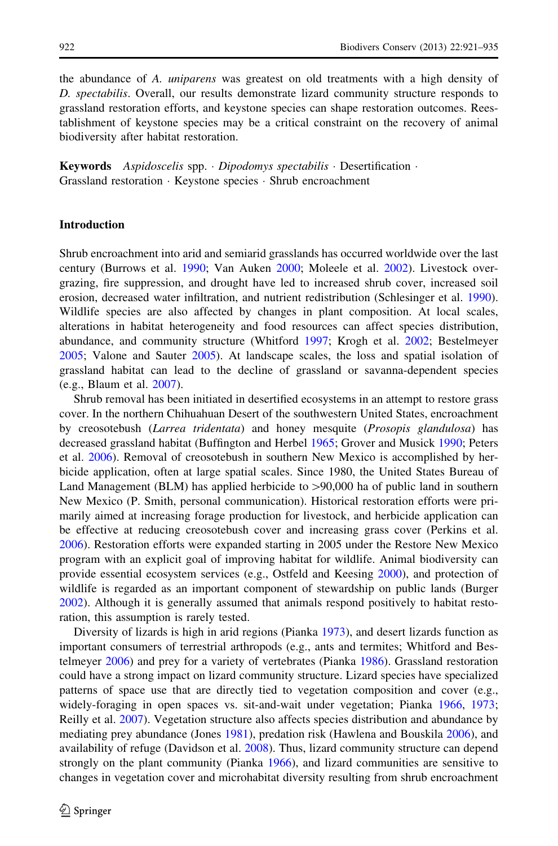the abundance of A. uniparens was greatest on old treatments with a high density of D. spectabilis. Overall, our results demonstrate lizard community structure responds to grassland restoration efforts, and keystone species can shape restoration outcomes. Reestablishment of keystone species may be a critical constraint on the recovery of animal biodiversity after habitat restoration.

Keywords Aspidoscelis spp. · Dipodomys spectabilis · Desertification · Grassland restoration - Keystone species - Shrub encroachment

#### Introduction

Shrub encroachment into arid and semiarid grasslands has occurred worldwide over the last century (Burrows et al. [1990](#page-12-0); Van Auken [2000;](#page-14-0) Moleele et al. [2002\)](#page-13-0). Livestock overgrazing, fire suppression, and drought have led to increased shrub cover, increased soil erosion, decreased water infiltration, and nutrient redistribution (Schlesinger et al. [1990](#page-14-0)). Wildlife species are also affected by changes in plant composition. At local scales, alterations in habitat heterogeneity and food resources can affect species distribution, abundance, and community structure (Whitford [1997;](#page-14-0) Krogh et al. [2002](#page-13-0); Bestelmeyer [2005;](#page-12-0) Valone and Sauter [2005](#page-14-0)). At landscape scales, the loss and spatial isolation of grassland habitat can lead to the decline of grassland or savanna-dependent species (e.g., Blaum et al. [2007](#page-12-0)).

Shrub removal has been initiated in desertified ecosystems in an attempt to restore grass cover. In the northern Chihuahuan Desert of the southwestern United States, encroachment by creosotebush (Larrea tridentata) and honey mesquite (Prosopis glandulosa) has decreased grassland habitat (Buffington and Herbel [1965;](#page-12-0) Grover and Musick [1990](#page-12-0); Peters et al. [2006\)](#page-13-0). Removal of creosotebush in southern New Mexico is accomplished by herbicide application, often at large spatial scales. Since 1980, the United States Bureau of Land Management  $(BLM)$  has applied herbicide to  $> 90,000$  ha of public land in southern New Mexico (P. Smith, personal communication). Historical restoration efforts were primarily aimed at increasing forage production for livestock, and herbicide application can be effective at reducing creosotebush cover and increasing grass cover (Perkins et al. [2006\)](#page-13-0). Restoration efforts were expanded starting in 2005 under the Restore New Mexico program with an explicit goal of improving habitat for wildlife. Animal biodiversity can provide essential ecosystem services (e.g., Ostfeld and Keesing [2000\)](#page-13-0), and protection of wildlife is regarded as an important component of stewardship on public lands (Burger [2002\)](#page-12-0). Although it is generally assumed that animals respond positively to habitat restoration, this assumption is rarely tested.

Diversity of lizards is high in arid regions (Pianka [1973](#page-13-0)), and desert lizards function as important consumers of terrestrial arthropods (e.g., ants and termites; Whitford and Bestelmeyer [2006](#page-14-0)) and prey for a variety of vertebrates (Pianka [1986\)](#page-13-0). Grassland restoration could have a strong impact on lizard community structure. Lizard species have specialized patterns of space use that are directly tied to vegetation composition and cover (e.g., widely-foraging in open spaces vs. sit-and-wait under vegetation; Pianka [1966](#page-13-0), [1973;](#page-13-0) Reilly et al. [2007\)](#page-13-0). Vegetation structure also affects species distribution and abundance by mediating prey abundance (Jones [1981\)](#page-13-0), predation risk (Hawlena and Bouskila [2006\)](#page-12-0), and availability of refuge (Davidson et al. [2008\)](#page-12-0). Thus, lizard community structure can depend strongly on the plant community (Pianka [1966\)](#page-13-0), and lizard communities are sensitive to changes in vegetation cover and microhabitat diversity resulting from shrub encroachment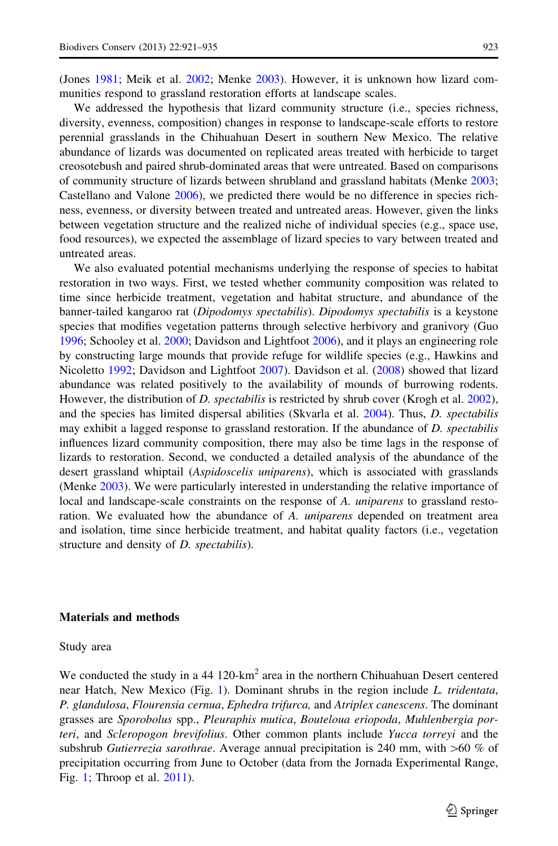(Jones [1981](#page-13-0); Meik et al. [2002;](#page-13-0) Menke [2003\)](#page-13-0). However, it is unknown how lizard communities respond to grassland restoration efforts at landscape scales.

We addressed the hypothesis that lizard community structure (i.e., species richness, diversity, evenness, composition) changes in response to landscape-scale efforts to restore perennial grasslands in the Chihuahuan Desert in southern New Mexico. The relative abundance of lizards was documented on replicated areas treated with herbicide to target creosotebush and paired shrub-dominated areas that were untreated. Based on comparisons of community structure of lizards between shrubland and grassland habitats (Menke [2003;](#page-13-0) Castellano and Valone [2006](#page-12-0)), we predicted there would be no difference in species richness, evenness, or diversity between treated and untreated areas. However, given the links between vegetation structure and the realized niche of individual species (e.g., space use, food resources), we expected the assemblage of lizard species to vary between treated and untreated areas.

We also evaluated potential mechanisms underlying the response of species to habitat restoration in two ways. First, we tested whether community composition was related to time since herbicide treatment, vegetation and habitat structure, and abundance of the banner-tailed kangaroo rat (Dipodomys spectabilis). Dipodomys spectabilis is a keystone species that modifies vegetation patterns through selective herbivory and granivory (Guo [1996;](#page-12-0) Schooley et al. [2000](#page-14-0); Davidson and Lightfoot [2006](#page-12-0)), and it plays an engineering role by constructing large mounds that provide refuge for wildlife species (e.g., Hawkins and Nicoletto [1992](#page-12-0); Davidson and Lightfoot [2007\)](#page-12-0). Davidson et al. ([2008\)](#page-12-0) showed that lizard abundance was related positively to the availability of mounds of burrowing rodents. However, the distribution of D. spectabilis is restricted by shrub cover (Krogh et al. [2002](#page-13-0)), and the species has limited dispersal abilities (Skvarla et al. [2004](#page-14-0)). Thus, D. spectabilis may exhibit a lagged response to grassland restoration. If the abundance of D. spectabilis influences lizard community composition, there may also be time lags in the response of lizards to restoration. Second, we conducted a detailed analysis of the abundance of the desert grassland whiptail (Aspidoscelis uniparens), which is associated with grasslands (Menke [2003\)](#page-13-0). We were particularly interested in understanding the relative importance of local and landscape-scale constraints on the response of A. *uniparens* to grassland restoration. We evaluated how the abundance of A. *uniparens* depended on treatment area and isolation, time since herbicide treatment, and habitat quality factors (i.e., vegetation structure and density of *D. spectabilis*).

#### Materials and methods

#### Study area

We conducted the study in a  $44 \frac{120 \text{ km}^2}{\text{m}^2}$  area in the northern Chihuahuan Desert centered near Hatch, New Mexico (Fig. [1\)](#page-3-0). Dominant shrubs in the region include L. tridentata, P. glandulosa, Flourensia cernua, Ephedra trifurca, and Atriplex canescens. The dominant grasses are Sporobolus spp., Pleuraphis mutica, Bouteloua eriopoda, Muhlenbergia porteri, and Scleropogon brevifolius. Other common plants include Yucca torreyi and the subshrub Gutierrezia sarothrae. Average annual precipitation is 240 mm, with  $>60 \%$  of precipitation occurring from June to October (data from the Jornada Experimental Range, Fig. [1;](#page-3-0) Throop et al. [2011\)](#page-14-0).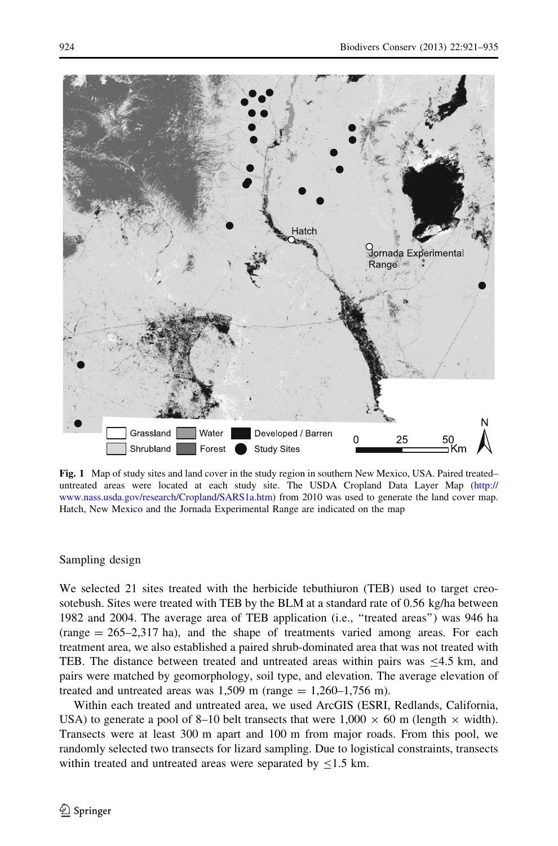<span id="page-3-0"></span>

Fig. 1 Map of study sites and land cover in the study region in southern New Mexico, USA. Paired treated– untreated areas were located at each study site. The USDA Cropland Data Layer Map [\(http://](http://www.nass.usda.gov/research/Cropland/SARS1a.htm) [www.nass.usda.gov/research/Cropland/SARS1a.htm\)](http://www.nass.usda.gov/research/Cropland/SARS1a.htm) from 2010 was used to generate the land cover map. Hatch, New Mexico and the Jornada Experimental Range are indicated on the map

### Sampling design

We selected 21 sites treated with the herbicide tebuthiuron (TEB) used to target creosotebush. Sites were treated with TEB by the BLM at a standard rate of 0.56 kg/ha between 1982 and 2004. The average area of TEB application (i.e., ''treated areas'') was 946 ha  $(\text{range} = 265-2,317 \text{ ha})$ , and the shape of treatments varied among areas. For each treatment area, we also established a paired shrub-dominated area that was not treated with TEB. The distance between treated and untreated areas within pairs was  $\leq 4.5$  km, and pairs were matched by geomorphology, soil type, and elevation. The average elevation of treated and untreated areas was  $1,509$  m (range  $= 1,260-1,756$  m).

Within each treated and untreated area, we used ArcGIS (ESRI, Redlands, California, USA) to generate a pool of 8–10 belt transects that were  $1,000 \times 60$  m (length  $\times$  width). Transects were at least 300 m apart and 100 m from major roads. From this pool, we randomly selected two transects for lizard sampling. Due to logistical constraints, transects within treated and untreated areas were separated by  $\leq$ 1.5 km.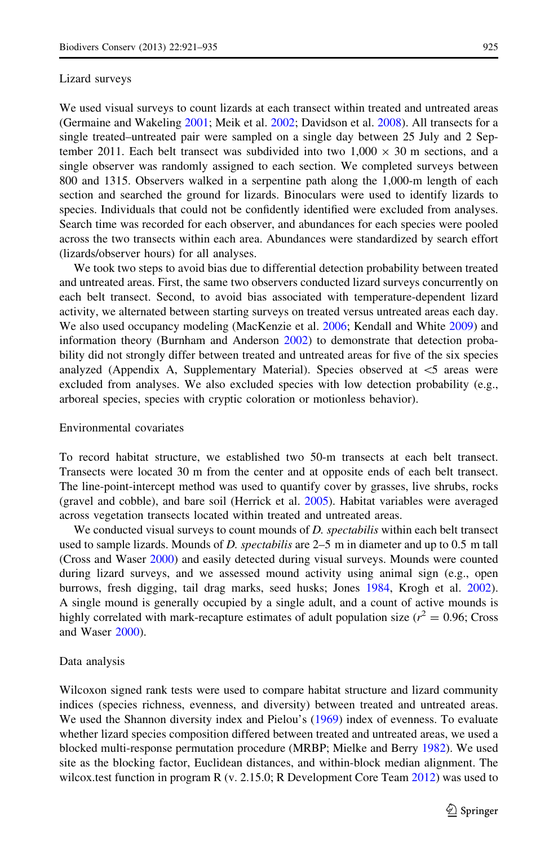#### Lizard surveys

We used visual surveys to count lizards at each transect within treated and untreated areas (Germaine and Wakeling [2001;](#page-12-0) Meik et al. [2002](#page-13-0); Davidson et al. [2008](#page-12-0)). All transects for a single treated–untreated pair were sampled on a single day between 25 July and 2 September 2011. Each belt transect was subdivided into two  $1,000 \times 30$  m sections, and a single observer was randomly assigned to each section. We completed surveys between 800 and 1315. Observers walked in a serpentine path along the 1,000-m length of each section and searched the ground for lizards. Binoculars were used to identify lizards to species. Individuals that could not be confidently identified were excluded from analyses. Search time was recorded for each observer, and abundances for each species were pooled across the two transects within each area. Abundances were standardized by search effort (lizards/observer hours) for all analyses.

We took two steps to avoid bias due to differential detection probability between treated and untreated areas. First, the same two observers conducted lizard surveys concurrently on each belt transect. Second, to avoid bias associated with temperature-dependent lizard activity, we alternated between starting surveys on treated versus untreated areas each day. We also used occupancy modeling (MacKenzie et al. [2006](#page-13-0); Kendall and White [2009\)](#page-13-0) and information theory (Burnham and Anderson [2002\)](#page-12-0) to demonstrate that detection probability did not strongly differ between treated and untreated areas for five of the six species analyzed (Appendix A, Supplementary Material). Species observed at  $\leq$  areas were excluded from analyses. We also excluded species with low detection probability (e.g., arboreal species, species with cryptic coloration or motionless behavior).

#### Environmental covariates

To record habitat structure, we established two 50-m transects at each belt transect. Transects were located 30 m from the center and at opposite ends of each belt transect. The line-point-intercept method was used to quantify cover by grasses, live shrubs, rocks (gravel and cobble), and bare soil (Herrick et al. [2005\)](#page-13-0). Habitat variables were averaged across vegetation transects located within treated and untreated areas.

We conducted visual surveys to count mounds of *D. spectabilis* within each belt transect used to sample lizards. Mounds of D. spectabilis are  $2-5$  m in diameter and up to 0.5 m tall (Cross and Waser [2000](#page-12-0)) and easily detected during visual surveys. Mounds were counted during lizard surveys, and we assessed mound activity using animal sign (e.g., open burrows, fresh digging, tail drag marks, seed husks; Jones [1984](#page-13-0), Krogh et al. [2002](#page-13-0)). A single mound is generally occupied by a single adult, and a count of active mounds is highly correlated with mark-recapture estimates of adult population size ( $r^2 = 0.96$ ; Cross and Waser [2000\)](#page-12-0).

#### Data analysis

Wilcoxon signed rank tests were used to compare habitat structure and lizard community indices (species richness, evenness, and diversity) between treated and untreated areas. We used the Shannon diversity index and Pielou's ([1969\)](#page-13-0) index of evenness. To evaluate whether lizard species composition differed between treated and untreated areas, we used a blocked multi-response permutation procedure (MRBP; Mielke and Berry [1982](#page-13-0)). We used site as the blocking factor, Euclidean distances, and within-block median alignment. The wilcox.test function in program R (v. 2.15.0; R Development Core Team [2012](#page-13-0)) was used to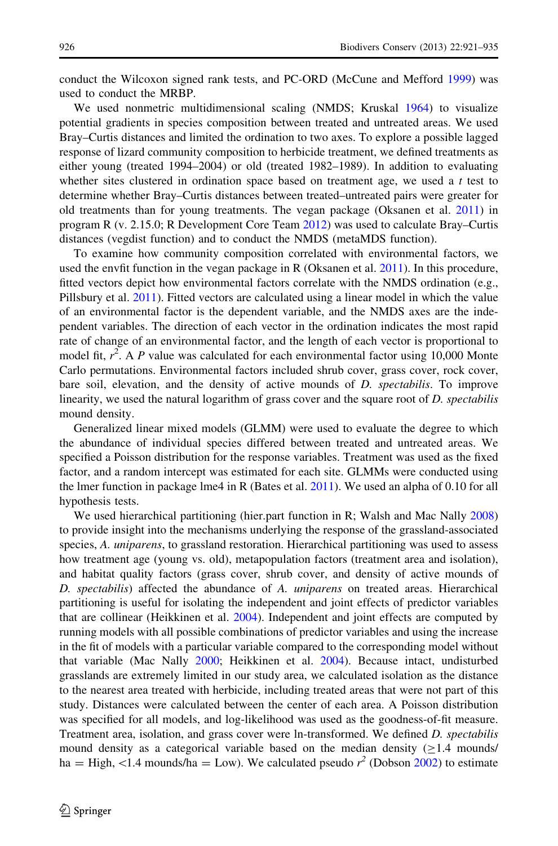conduct the Wilcoxon signed rank tests, and PC-ORD (McCune and Mefford [1999](#page-13-0)) was used to conduct the MRBP.

We used nonmetric multidimensional scaling (NMDS; Kruskal [1964](#page-13-0)) to visualize potential gradients in species composition between treated and untreated areas. We used Bray–Curtis distances and limited the ordination to two axes. To explore a possible lagged response of lizard community composition to herbicide treatment, we defined treatments as either young (treated 1994–2004) or old (treated 1982–1989). In addition to evaluating whether sites clustered in ordination space based on treatment age, we used a  $t$  test to determine whether Bray–Curtis distances between treated–untreated pairs were greater for old treatments than for young treatments. The vegan package (Oksanen et al. [2011](#page-14-0)) in program R (v. 2.15.0; R Development Core Team [2012\)](#page-13-0) was used to calculate Bray–Curtis distances (vegdist function) and to conduct the NMDS (metaMDS function).

To examine how community composition correlated with environmental factors, we used the envfit function in the vegan package in R (Oksanen et al. [2011\)](#page-14-0). In this procedure, fitted vectors depict how environmental factors correlate with the NMDS ordination (e.g., Pillsbury et al. [2011\)](#page-13-0). Fitted vectors are calculated using a linear model in which the value of an environmental factor is the dependent variable, and the NMDS axes are the independent variables. The direction of each vector in the ordination indicates the most rapid rate of change of an environmental factor, and the length of each vector is proportional to model fit,  $r^2$ . A P value was calculated for each environmental factor using 10,000 Monte Carlo permutations. Environmental factors included shrub cover, grass cover, rock cover, bare soil, elevation, and the density of active mounds of D. spectabilis. To improve linearity, we used the natural logarithm of grass cover and the square root of D. spectabilis mound density.

Generalized linear mixed models (GLMM) were used to evaluate the degree to which the abundance of individual species differed between treated and untreated areas. We specified a Poisson distribution for the response variables. Treatment was used as the fixed factor, and a random intercept was estimated for each site. GLMMs were conducted using the lmer function in package lme4 in R (Bates et al. [2011](#page-12-0)). We used an alpha of 0.10 for all hypothesis tests.

We used hierarchical partitioning (hier.part function in R; Walsh and Mac Nally [2008](#page-14-0)) to provide insight into the mechanisms underlying the response of the grassland-associated species, A. *uniparens*, to grassland restoration. Hierarchical partitioning was used to assess how treatment age (young vs. old), metapopulation factors (treatment area and isolation), and habitat quality factors (grass cover, shrub cover, and density of active mounds of D. spectabilis) affected the abundance of A. uniparens on treated areas. Hierarchical partitioning is useful for isolating the independent and joint effects of predictor variables that are collinear (Heikkinen et al. [2004\)](#page-13-0). Independent and joint effects are computed by running models with all possible combinations of predictor variables and using the increase in the fit of models with a particular variable compared to the corresponding model without that variable (Mac Nally [2000;](#page-13-0) Heikkinen et al. [2004](#page-13-0)). Because intact, undisturbed grasslands are extremely limited in our study area, we calculated isolation as the distance to the nearest area treated with herbicide, including treated areas that were not part of this study. Distances were calculated between the center of each area. A Poisson distribution was specified for all models, and log-likelihood was used as the goodness-of-fit measure. Treatment area, isolation, and grass cover were ln-transformed. We defined D. spectabilis mound density as a categorical variable based on the median density ( $\geq$ 1.4 mounds/ ha = High, <1.4 mounds/ha = Low). We calculated pseudo  $r^2$  (Dobson [2002](#page-12-0)) to estimate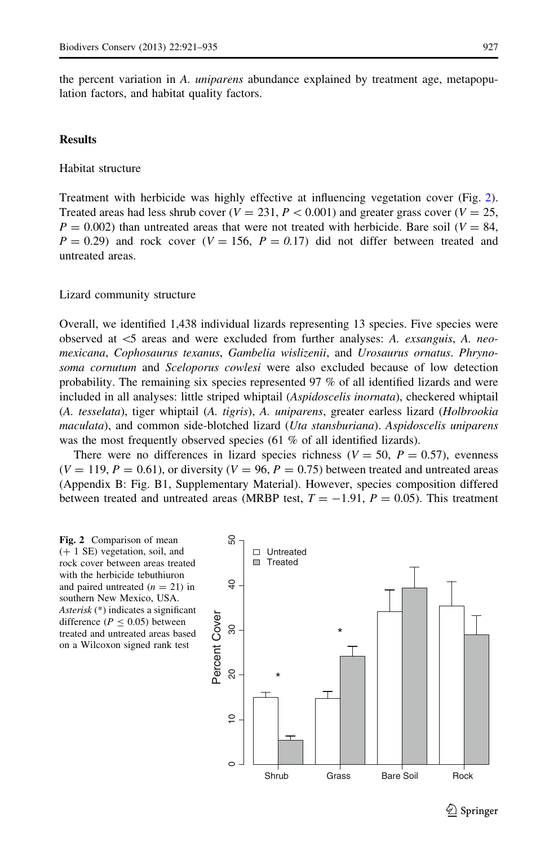the percent variation in A. *uniparens* abundance explained by treatment age, metapopulation factors, and habitat quality factors.

## **Results**

Habitat structure

Treatment with herbicide was highly effective at influencing vegetation cover (Fig. 2). Treated areas had less shrub cover  $(V = 231, P < 0.001)$  and greater grass cover  $(V = 25,$  $P = 0.002$ ) than untreated areas that were not treated with herbicide. Bare soil ( $V = 84$ ,  $P = 0.29$ ) and rock cover ( $V = 156$ ,  $P = 0.17$ ) did not differ between treated and untreated areas.

#### Lizard community structure

Overall, we identified 1,438 individual lizards representing 13 species. Five species were observed at  $\lt$ 5 areas and were excluded from further analyses: A. *exsanguis*, A. *neo*mexicana, Cophosaurus texanus, Gambelia wislizenii, and Urosaurus ornatus. Phrynosoma cornutum and Sceloporus cowlesi were also excluded because of low detection probability. The remaining six species represented 97 % of all identified lizards and were included in all analyses: little striped whiptail (Aspidoscelis inornata), checkered whiptail (A. tesselata), tiger whiptail (A. tigris), A. uniparens, greater earless lizard (Holbrookia maculata), and common side-blotched lizard (Uta stansburiana). Aspidoscelis uniparens was the most frequently observed species (61 % of all identified lizards).

There were no differences in lizard species richness ( $V = 50$ ,  $P = 0.57$ ), evenness  $(V = 119, P = 0.61)$ , or diversity  $(V = 96, P = 0.75)$  between treated and untreated areas (Appendix B: Fig. B1, Supplementary Material). However, species composition differed between treated and untreated areas (MRBP test,  $T = -1.91$ ,  $P = 0.05$ ). This treatment

Fig. 2 Comparison of mean  $(+ 1 \text{ SE})$  vegetation, soil, and rock cover between areas treated with the herbicide tebuthiuron and paired untreated  $(n = 21)$  in southern New Mexico, USA. Asterisk (\*) indicates a significant difference ( $P \le 0.05$ ) between treated and untreated areas based on a Wilcoxon signed rank test

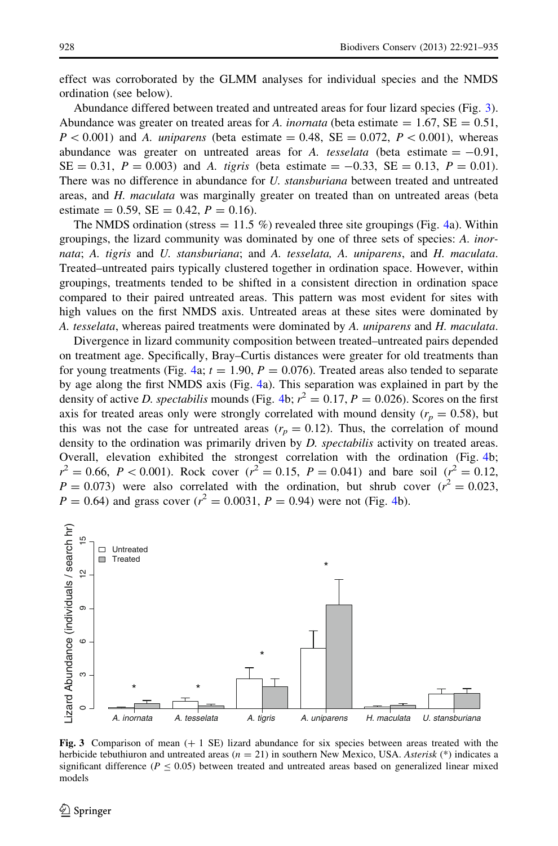effect was corroborated by the GLMM analyses for individual species and the NMDS ordination (see below).

Abundance differed between treated and untreated areas for four lizard species (Fig. 3). Abundance was greater on treated areas for A. *inornata* (beta estimate  $= 1.67$ , SE  $= 0.51$ ,  $P < 0.001$ ) and A. *uniparens* (beta estimate = 0.48, SE = 0.072, P < 0.001), whereas abundance was greater on untreated areas for A. tesselata (beta estimate  $= -0.91$ ,  $SE = 0.31$ ,  $P = 0.003$ ) and A. tigris (beta estimate = -0.33,  $SE = 0.13$ ,  $P = 0.01$ ). There was no difference in abundance for U. *stansburiana* between treated and untreated areas, and H. maculata was marginally greater on treated than on untreated areas (beta estimate = 0.59,  $SE = 0.42$ ,  $P = 0.16$ ).

The NMDS ordination (stress  $= 11.5 \%$ ) revealed three site groupings (Fig. [4](#page-8-0)a). Within groupings, the lizard community was dominated by one of three sets of species: A. inornata; A. tigris and U. stansburiana; and A. tesselata, A. uniparens, and H. maculata. Treated–untreated pairs typically clustered together in ordination space. However, within groupings, treatments tended to be shifted in a consistent direction in ordination space compared to their paired untreated areas. This pattern was most evident for sites with high values on the first NMDS axis. Untreated areas at these sites were dominated by A. tesselata, whereas paired treatments were dominated by A. uniparens and H. maculata.

Divergence in lizard community composition between treated–untreated pairs depended on treatment age. Specifically, Bray–Curtis distances were greater for old treatments than for young treatments (Fig. [4](#page-8-0)a;  $t = 1.90$ ,  $P = 0.076$ ). Treated areas also tended to separate by age along the first NMDS axis (Fig. [4](#page-8-0)a). This separation was explained in part by the density of active *D. spectabilis* mounds (Fig. [4](#page-8-0)b;  $r^2 = 0.17$ ,  $P = 0.026$ ). Scores on the first axis for treated areas only were strongly correlated with mound density ( $r_p = 0.58$ ), but this was not the case for untreated areas  $(r_p = 0.12)$ . Thus, the correlation of mound density to the ordination was primarily driven by  $D$ . spectabilis activity on treated areas. Overall, elevation exhibited the strongest correlation with the ordination (Fig. [4](#page-8-0)b;  $r^2 = 0.66$ ,  $P < 0.001$ ). Rock cover  $(r^2 = 0.15, P = 0.041)$  and bare soil  $(r^2 = 0.12, P = 0.041)$  $P = 0.073$ ) were also correlated with the ordination, but shrub cover  $(r^2 = 0.023,$  $P = 0.64$  $P = 0.64$ ) and grass cover ( $r^2 = 0.0031$ ,  $P = 0.94$ ) were not (Fig. 4b).



Fig. 3 Comparison of mean  $(+ 1 \text{ SE})$  lizard abundance for six species between areas treated with the herbicide tebuthiuron and untreated areas ( $n = 21$ ) in southern New Mexico, USA. Asterisk (\*) indicates a significant difference ( $P \le 0.05$ ) between treated and untreated areas based on generalized linear mixed models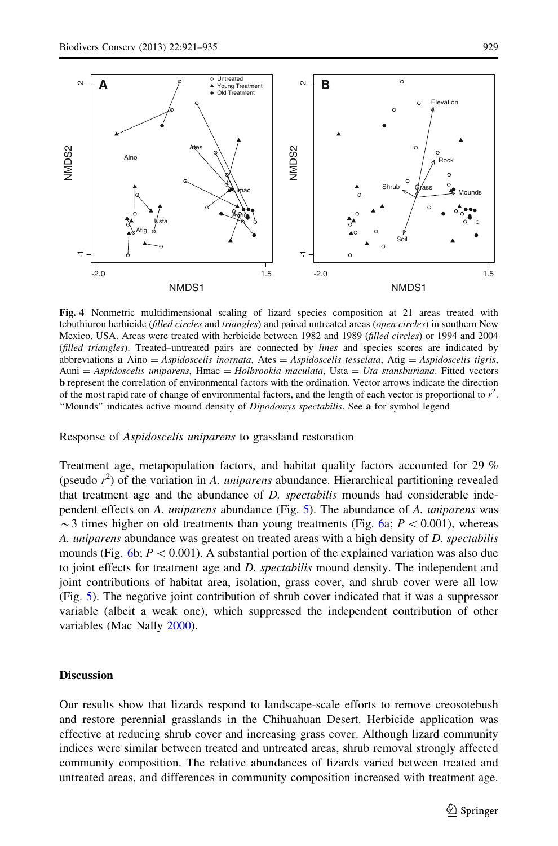

<span id="page-8-0"></span>

Fig. 4 Nonmetric multidimensional scaling of lizard species composition at 21 areas treated with tebuthiuron herbicide (filled circles and triangles) and paired untreated areas (open circles) in southern New Mexico, USA. Areas were treated with herbicide between 1982 and 1989 (filled circles) or 1994 and 2004 (filled triangles). Treated–untreated pairs are connected by lines and species scores are indicated by abbreviations **a** Aino = Aspidoscelis inornata, Ates = Aspidoscelis tesselata, Atig = Aspidoscelis tigris,  $Auni = Aspidoscelis uniparens, Hmac = Holbrookia maculata, Usta = Uta stansburiana. Fitted vectors$ b represent the correlation of environmental factors with the ordination. Vector arrows indicate the direction of the most rapid rate of change of environmental factors, and the length of each vector is proportional to  $r^2$ . ''Mounds'' indicates active mound density of Dipodomys spectabilis. See a for symbol legend

Response of Aspidoscelis uniparens to grassland restoration

Treatment age, metapopulation factors, and habitat quality factors accounted for 29 % (pseudo  $r^2$ ) of the variation in A. *uniparens* abundance. Hierarchical partitioning revealed that treatment age and the abundance of  $D$ , spectabilis mounds had considerable independent effects on A. uniparens abundance (Fig. [5\)](#page-9-0). The abundance of A. uniparens was  $\sim$ 3 times higher on old treatments than young treatments (Fig. [6a](#page-9-0); P < 0.001), whereas A. uniparens abundance was greatest on treated areas with a high density of D. spectabilis mounds (Fig. [6](#page-9-0)b;  $P \lt 0.001$ ). A substantial portion of the explained variation was also due to joint effects for treatment age and D. spectabilis mound density. The independent and joint contributions of habitat area, isolation, grass cover, and shrub cover were all low (Fig. [5\)](#page-9-0). The negative joint contribution of shrub cover indicated that it was a suppressor variable (albeit a weak one), which suppressed the independent contribution of other variables (Mac Nally [2000\)](#page-13-0).

## **Discussion**

Our results show that lizards respond to landscape-scale efforts to remove creosotebush and restore perennial grasslands in the Chihuahuan Desert. Herbicide application was effective at reducing shrub cover and increasing grass cover. Although lizard community indices were similar between treated and untreated areas, shrub removal strongly affected community composition. The relative abundances of lizards varied between treated and untreated areas, and differences in community composition increased with treatment age.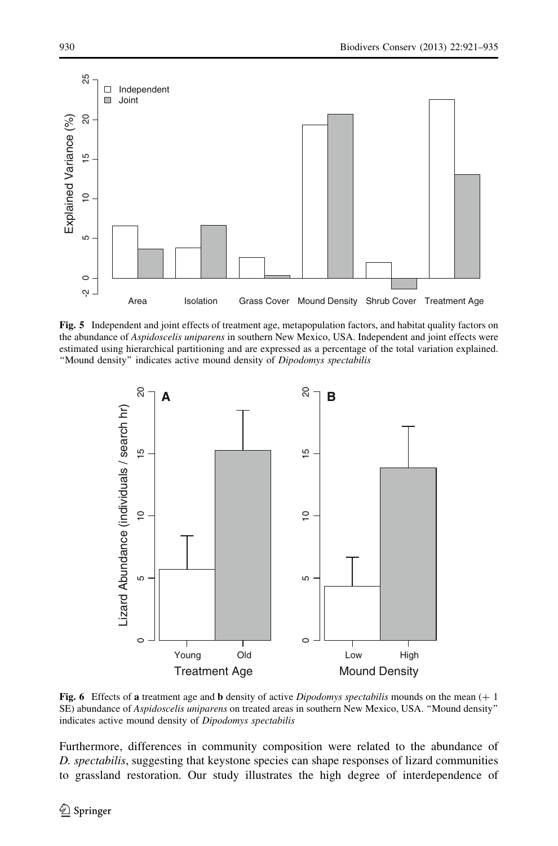<span id="page-9-0"></span>

Fig. 5 Independent and joint effects of treatment age, metapopulation factors, and habitat quality factors on the abundance of Aspidoscelis uniparens in southern New Mexico, USA. Independent and joint effects were estimated using hierarchical partitioning and are expressed as a percentage of the total variation explained. ''Mound density'' indicates active mound density of Dipodomys spectabilis



Fig. 6 Effects of a treatment age and b density of active Dipodomys spectabilis mounds on the mean  $(+)$ SE) abundance of Aspidoscelis uniparens on treated areas in southern New Mexico, USA. ''Mound density'' indicates active mound density of Dipodomys spectabilis

Furthermore, differences in community composition were related to the abundance of D. spectabilis, suggesting that keystone species can shape responses of lizard communities to grassland restoration. Our study illustrates the high degree of interdependence of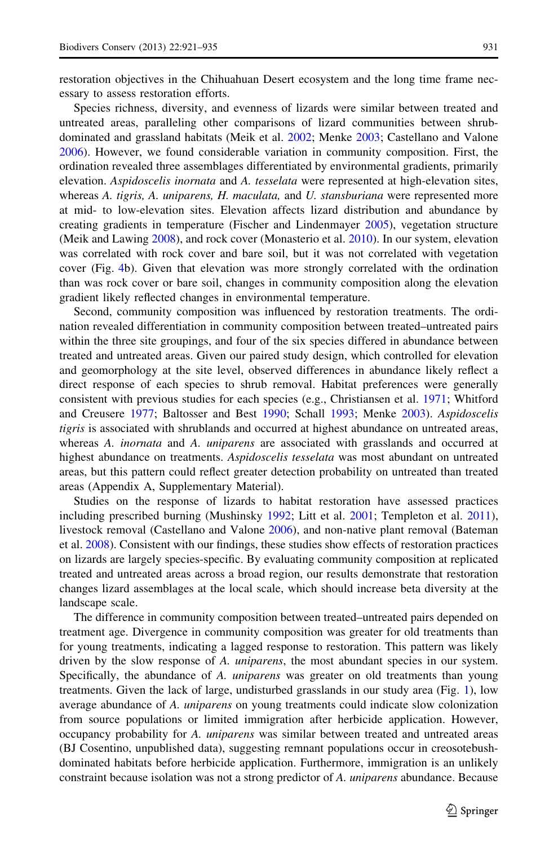restoration objectives in the Chihuahuan Desert ecosystem and the long time frame necessary to assess restoration efforts.

Species richness, diversity, and evenness of lizards were similar between treated and untreated areas, paralleling other comparisons of lizard communities between shrubdominated and grassland habitats (Meik et al. [2002;](#page-13-0) Menke [2003;](#page-13-0) Castellano and Valone [2006\)](#page-12-0). However, we found considerable variation in community composition. First, the ordination revealed three assemblages differentiated by environmental gradients, primarily elevation. Aspidoscelis inornata and A. tesselata were represented at high-elevation sites, whereas A. tigris, A. uniparens, H. maculata, and U. stansburiana were represented more at mid- to low-elevation sites. Elevation affects lizard distribution and abundance by creating gradients in temperature (Fischer and Lindenmayer [2005](#page-12-0)), vegetation structure (Meik and Lawing [2008\)](#page-13-0), and rock cover (Monasterio et al. [2010\)](#page-13-0). In our system, elevation was correlated with rock cover and bare soil, but it was not correlated with vegetation cover (Fig. [4b](#page-8-0)). Given that elevation was more strongly correlated with the ordination than was rock cover or bare soil, changes in community composition along the elevation gradient likely reflected changes in environmental temperature.

Second, community composition was influenced by restoration treatments. The ordination revealed differentiation in community composition between treated–untreated pairs within the three site groupings, and four of the six species differed in abundance between treated and untreated areas. Given our paired study design, which controlled for elevation and geomorphology at the site level, observed differences in abundance likely reflect a direct response of each species to shrub removal. Habitat preferences were generally consistent with previous studies for each species (e.g., Christiansen et al. [1971](#page-12-0); Whitford and Creusere [1977](#page-14-0); Baltosser and Best [1990;](#page-12-0) Schall [1993](#page-13-0); Menke [2003\)](#page-13-0). Aspidoscelis tigris is associated with shrublands and occurred at highest abundance on untreated areas, whereas A. *inornata* and A. *uniparens* are associated with grasslands and occurred at highest abundance on treatments. Aspidoscelis tesselata was most abundant on untreated areas, but this pattern could reflect greater detection probability on untreated than treated areas (Appendix A, Supplementary Material).

Studies on the response of lizards to habitat restoration have assessed practices including prescribed burning (Mushinsky [1992](#page-13-0); Litt et al. [2001;](#page-13-0) Templeton et al. [2011](#page-14-0)), livestock removal (Castellano and Valone [2006\)](#page-12-0), and non-native plant removal (Bateman et al. [2008](#page-12-0)). Consistent with our findings, these studies show effects of restoration practices on lizards are largely species-specific. By evaluating community composition at replicated treated and untreated areas across a broad region, our results demonstrate that restoration changes lizard assemblages at the local scale, which should increase beta diversity at the landscape scale.

The difference in community composition between treated–untreated pairs depended on treatment age. Divergence in community composition was greater for old treatments than for young treatments, indicating a lagged response to restoration. This pattern was likely driven by the slow response of A. *uniparens*, the most abundant species in our system. Specifically, the abundance of A. *uniparens* was greater on old treatments than young treatments. Given the lack of large, undisturbed grasslands in our study area (Fig. [1\)](#page-3-0), low average abundance of A. *uniparens* on young treatments could indicate slow colonization from source populations or limited immigration after herbicide application. However, occupancy probability for A. uniparens was similar between treated and untreated areas (BJ Cosentino, unpublished data), suggesting remnant populations occur in creosotebushdominated habitats before herbicide application. Furthermore, immigration is an unlikely constraint because isolation was not a strong predictor of A. *uniparens* abundance. Because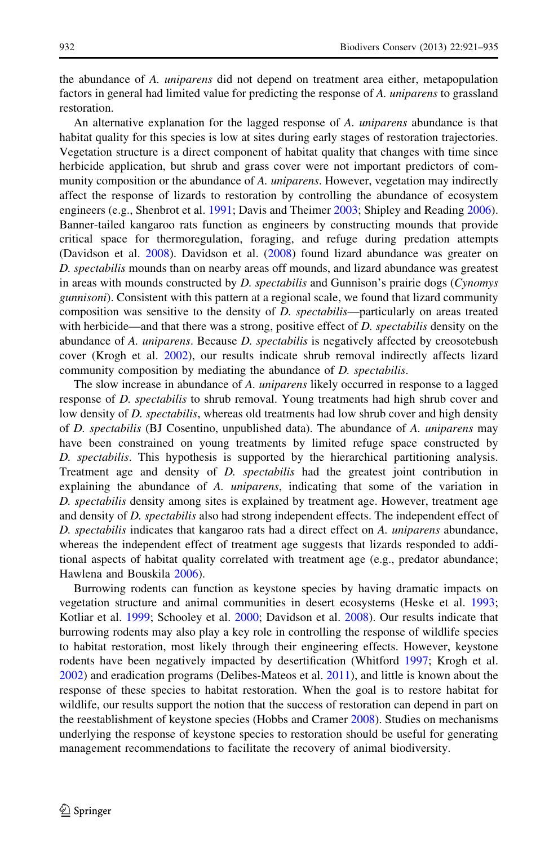the abundance of A. uniparens did not depend on treatment area either, metapopulation factors in general had limited value for predicting the response of A. uniparens to grassland restoration.

An alternative explanation for the lagged response of A. *uniparens* abundance is that habitat quality for this species is low at sites during early stages of restoration trajectories. Vegetation structure is a direct component of habitat quality that changes with time since herbicide application, but shrub and grass cover were not important predictors of community composition or the abundance of A. *uniparens*. However, vegetation may indirectly affect the response of lizards to restoration by controlling the abundance of ecosystem engineers (e.g., Shenbrot et al. [1991](#page-14-0); Davis and Theimer [2003;](#page-12-0) Shipley and Reading [2006](#page-14-0)). Banner-tailed kangaroo rats function as engineers by constructing mounds that provide critical space for thermoregulation, foraging, and refuge during predation attempts (Davidson et al. [2008\)](#page-12-0). Davidson et al. [\(2008\)](#page-12-0) found lizard abundance was greater on D. spectabilis mounds than on nearby areas off mounds, and lizard abundance was greatest in areas with mounds constructed by  $D$ . spectabilis and Gunnison's prairie dogs (Cynomys *gunnisoni*). Consistent with this pattern at a regional scale, we found that lizard community composition was sensitive to the density of D. spectabilis—particularly on areas treated with herbicide—and that there was a strong, positive effect of D. spectabilis density on the abundance of A. *uniparens*. Because *D. spectabilis* is negatively affected by creosotebush cover (Krogh et al. [2002](#page-13-0)), our results indicate shrub removal indirectly affects lizard community composition by mediating the abundance of D. spectabilis.

The slow increase in abundance of A. uniparens likely occurred in response to a lagged response of *D. spectabilis* to shrub removal. Young treatments had high shrub cover and low density of *D. spectabilis*, whereas old treatments had low shrub cover and high density of D. spectabilis (BJ Cosentino, unpublished data). The abundance of A. uniparens may have been constrained on young treatments by limited refuge space constructed by D. spectabilis. This hypothesis is supported by the hierarchical partitioning analysis. Treatment age and density of D. spectabilis had the greatest joint contribution in explaining the abundance of A. *uniparens*, indicating that some of the variation in D. spectabilis density among sites is explained by treatment age. However, treatment age and density of *D. spectabilis* also had strong independent effects. The independent effect of D. spectabilis indicates that kangaroo rats had a direct effect on A. uniparens abundance, whereas the independent effect of treatment age suggests that lizards responded to additional aspects of habitat quality correlated with treatment age (e.g., predator abundance; Hawlena and Bouskila [2006](#page-12-0)).

Burrowing rodents can function as keystone species by having dramatic impacts on vegetation structure and animal communities in desert ecosystems (Heske et al. [1993;](#page-13-0) Kotliar et al. [1999](#page-13-0); Schooley et al. [2000;](#page-14-0) Davidson et al. [2008\)](#page-12-0). Our results indicate that burrowing rodents may also play a key role in controlling the response of wildlife species to habitat restoration, most likely through their engineering effects. However, keystone rodents have been negatively impacted by desertification (Whitford [1997](#page-14-0); Krogh et al. [2002\)](#page-13-0) and eradication programs (Delibes-Mateos et al. [2011](#page-12-0)), and little is known about the response of these species to habitat restoration. When the goal is to restore habitat for wildlife, our results support the notion that the success of restoration can depend in part on the reestablishment of keystone species (Hobbs and Cramer [2008](#page-13-0)). Studies on mechanisms underlying the response of keystone species to restoration should be useful for generating management recommendations to facilitate the recovery of animal biodiversity.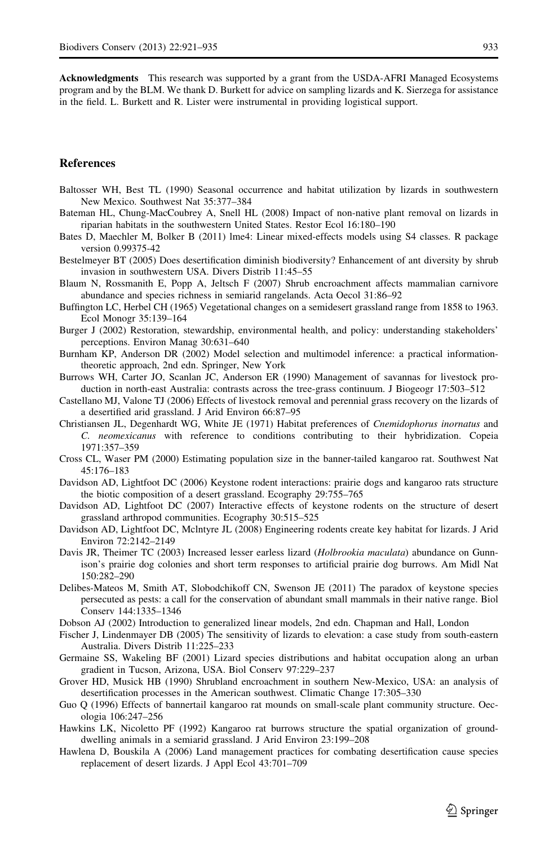<span id="page-12-0"></span>Acknowledgments This research was supported by a grant from the USDA-AFRI Managed Ecosystems program and by the BLM. We thank D. Burkett for advice on sampling lizards and K. Sierzega for assistance in the field. L. Burkett and R. Lister were instrumental in providing logistical support.

#### References

- Baltosser WH, Best TL (1990) Seasonal occurrence and habitat utilization by lizards in southwestern New Mexico. Southwest Nat 35:377–384
- Bateman HL, Chung-MacCoubrey A, Snell HL (2008) Impact of non-native plant removal on lizards in riparian habitats in the southwestern United States. Restor Ecol 16:180–190
- Bates D, Maechler M, Bolker B (2011) lme4: Linear mixed-effects models using S4 classes. R package version 0.99375-42
- Bestelmeyer BT (2005) Does desertification diminish biodiversity? Enhancement of ant diversity by shrub invasion in southwestern USA. Divers Distrib 11:45–55
- Blaum N, Rossmanith E, Popp A, Jeltsch F (2007) Shrub encroachment affects mammalian carnivore abundance and species richness in semiarid rangelands. Acta Oecol 31:86–92
- Buffington LC, Herbel CH (1965) Vegetational changes on a semidesert grassland range from 1858 to 1963. Ecol Monogr 35:139–164
- Burger J (2002) Restoration, stewardship, environmental health, and policy: understanding stakeholders' perceptions. Environ Manag 30:631–640
- Burnham KP, Anderson DR (2002) Model selection and multimodel inference: a practical informationtheoretic approach, 2nd edn. Springer, New York
- Burrows WH, Carter JO, Scanlan JC, Anderson ER (1990) Management of savannas for livestock production in north-east Australia: contrasts across the tree-grass continuum. J Biogeogr 17:503–512
- Castellano MJ, Valone TJ (2006) Effects of livestock removal and perennial grass recovery on the lizards of a desertified arid grassland. J Arid Environ 66:87–95
- Christiansen JL, Degenhardt WG, White JE (1971) Habitat preferences of Cnemidophorus inornatus and C. neomexicanus with reference to conditions contributing to their hybridization. Copeia 1971:357–359
- Cross CL, Waser PM (2000) Estimating population size in the banner-tailed kangaroo rat. Southwest Nat 45:176–183
- Davidson AD, Lightfoot DC (2006) Keystone rodent interactions: prairie dogs and kangaroo rats structure the biotic composition of a desert grassland. Ecography 29:755–765
- Davidson AD, Lightfoot DC (2007) Interactive effects of keystone rodents on the structure of desert grassland arthropod communities. Ecography 30:515–525
- Davidson AD, Lightfoot DC, Mclntyre JL (2008) Engineering rodents create key habitat for lizards. J Arid Environ 72:2142–2149
- Davis JR, Theimer TC (2003) Increased lesser earless lizard (Holbrookia maculata) abundance on Gunnison's prairie dog colonies and short term responses to artificial prairie dog burrows. Am Midl Nat 150:282–290
- Delibes-Mateos M, Smith AT, Slobodchikoff CN, Swenson JE (2011) The paradox of keystone species persecuted as pests: a call for the conservation of abundant small mammals in their native range. Biol Conserv 144:1335–1346
- Dobson AJ (2002) Introduction to generalized linear models, 2nd edn. Chapman and Hall, London
- Fischer J, Lindenmayer DB (2005) The sensitivity of lizards to elevation: a case study from south-eastern Australia. Divers Distrib 11:225–233
- Germaine SS, Wakeling BF (2001) Lizard species distributions and habitat occupation along an urban gradient in Tucson, Arizona, USA. Biol Conserv 97:229–237
- Grover HD, Musick HB (1990) Shrubland encroachment in southern New-Mexico, USA: an analysis of desertification processes in the American southwest. Climatic Change 17:305–330
- Guo Q (1996) Effects of bannertail kangaroo rat mounds on small-scale plant community structure. Oecologia 106:247–256
- Hawkins LK, Nicoletto PF (1992) Kangaroo rat burrows structure the spatial organization of grounddwelling animals in a semiarid grassland. J Arid Environ 23:199–208
- Hawlena D, Bouskila A (2006) Land management practices for combating desertification cause species replacement of desert lizards. J Appl Ecol 43:701–709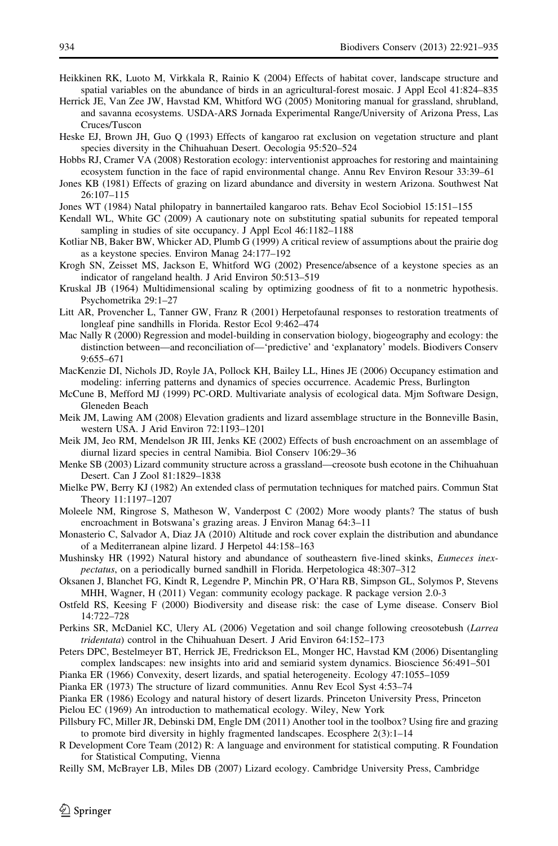- <span id="page-13-0"></span>Heikkinen RK, Luoto M, Virkkala R, Rainio K (2004) Effects of habitat cover, landscape structure and spatial variables on the abundance of birds in an agricultural-forest mosaic. J Appl Ecol 41:824–835
- Herrick JE, Van Zee JW, Havstad KM, Whitford WG (2005) Monitoring manual for grassland, shrubland, and savanna ecosystems. USDA-ARS Jornada Experimental Range/University of Arizona Press, Las Cruces/Tuscon
- Heske EJ, Brown JH, Guo Q (1993) Effects of kangaroo rat exclusion on vegetation structure and plant species diversity in the Chihuahuan Desert. Oecologia 95:520–524
- Hobbs RJ, Cramer VA (2008) Restoration ecology: interventionist approaches for restoring and maintaining ecosystem function in the face of rapid environmental change. Annu Rev Environ Resour 33:39–61
- Jones KB (1981) Effects of grazing on lizard abundance and diversity in western Arizona. Southwest Nat 26:107–115
- Jones WT (1984) Natal philopatry in bannertailed kangaroo rats. Behav Ecol Sociobiol 15:151–155
- Kendall WL, White GC (2009) A cautionary note on substituting spatial subunits for repeated temporal sampling in studies of site occupancy. J Appl Ecol 46:1182–1188
- Kotliar NB, Baker BW, Whicker AD, Plumb G (1999) A critical review of assumptions about the prairie dog as a keystone species. Environ Manag 24:177–192
- Krogh SN, Zeisset MS, Jackson E, Whitford WG (2002) Presence/absence of a keystone species as an indicator of rangeland health. J Arid Environ 50:513–519
- Kruskal JB (1964) Multidimensional scaling by optimizing goodness of fit to a nonmetric hypothesis. Psychometrika 29:1–27
- Litt AR, Provencher L, Tanner GW, Franz R (2001) Herpetofaunal responses to restoration treatments of longleaf pine sandhills in Florida. Restor Ecol 9:462–474
- Mac Nally R (2000) Regression and model-building in conservation biology, biogeography and ecology: the distinction between—and reconciliation of—'predictive' and 'explanatory' models. Biodivers Conserv 9:655–671
- MacKenzie DI, Nichols JD, Royle JA, Pollock KH, Bailey LL, Hines JE (2006) Occupancy estimation and modeling: inferring patterns and dynamics of species occurrence. Academic Press, Burlington
- McCune B, Mefford MJ (1999) PC-ORD. Multivariate analysis of ecological data. Mjm Software Design, Gleneden Beach
- Meik JM, Lawing AM (2008) Elevation gradients and lizard assemblage structure in the Bonneville Basin, western USA. J Arid Environ 72:1193–1201
- Meik JM, Jeo RM, Mendelson JR III, Jenks KE (2002) Effects of bush encroachment on an assemblage of diurnal lizard species in central Namibia. Biol Conserv 106:29–36
- Menke SB (2003) Lizard community structure across a grassland—creosote bush ecotone in the Chihuahuan Desert. Can J Zool 81:1829–1838
- Mielke PW, Berry KJ (1982) An extended class of permutation techniques for matched pairs. Commun Stat Theory 11:1197–1207
- Moleele NM, Ringrose S, Matheson W, Vanderpost C (2002) More woody plants? The status of bush encroachment in Botswana's grazing areas. J Environ Manag 64:3–11
- Monasterio C, Salvador A, Diaz JA (2010) Altitude and rock cover explain the distribution and abundance of a Mediterranean alpine lizard. J Herpetol 44:158–163
- Mushinsky HR (1992) Natural history and abundance of southeastern five-lined skinks, *Eumeces inex*pectatus, on a periodically burned sandhill in Florida. Herpetologica 48:307–312
- Oksanen J, Blanchet FG, Kindt R, Legendre P, Minchin PR, O'Hara RB, Simpson GL, Solymos P, Stevens MHH, Wagner, H (2011) Vegan: community ecology package. R package version 2.0-3
- Ostfeld RS, Keesing F (2000) Biodiversity and disease risk: the case of Lyme disease. Conserv Biol 14:722–728
- Perkins SR, McDaniel KC, Ulery AL (2006) Vegetation and soil change following creosotebush (Larrea tridentata) control in the Chihuahuan Desert. J Arid Environ 64:152–173
- Peters DPC, Bestelmeyer BT, Herrick JE, Fredrickson EL, Monger HC, Havstad KM (2006) Disentangling complex landscapes: new insights into arid and semiarid system dynamics. Bioscience 56:491–501
- Pianka ER (1966) Convexity, desert lizards, and spatial heterogeneity. Ecology 47:1055–1059
- Pianka ER (1973) The structure of lizard communities. Annu Rev Ecol Syst 4:53–74

Pianka ER (1986) Ecology and natural history of desert lizards. Princeton University Press, Princeton

Pielou EC (1969) An introduction to mathematical ecology. Wiley, New York

- Pillsbury FC, Miller JR, Debinski DM, Engle DM (2011) Another tool in the toolbox? Using fire and grazing to promote bird diversity in highly fragmented landscapes. Ecosphere 2(3):1–14
- R Development Core Team (2012) R: A language and environment for statistical computing. R Foundation for Statistical Computing, Vienna

Reilly SM, McBrayer LB, Miles DB (2007) Lizard ecology. Cambridge University Press, Cambridge